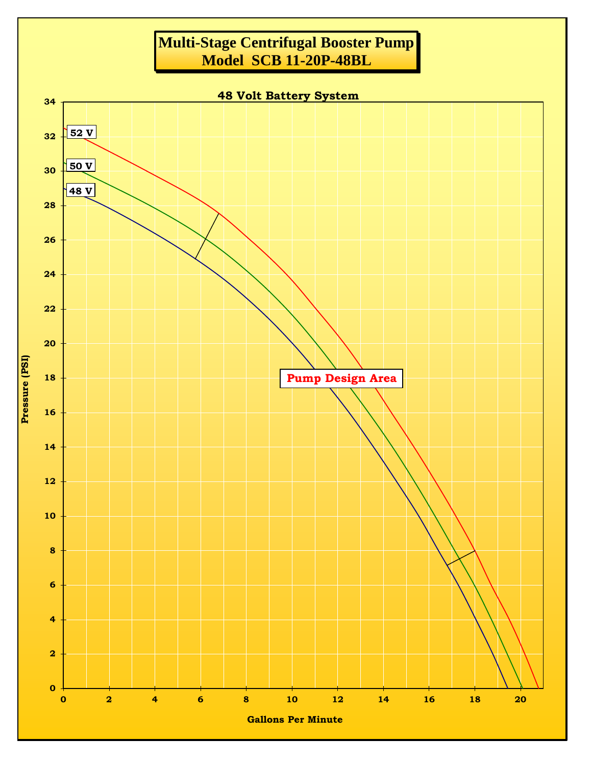